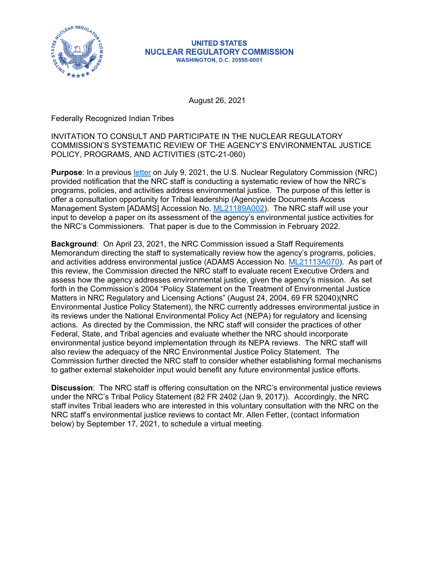

## **UNITED STATES NUCLEAR REGULATORY COMMISSION WASHINGTON, D.C. 20555-0001**

August 26, 2021

Federally Recognized Indian Tribes

INVITATION TO CONSULT AND PARTICIPATE IN THE NUCLEAR REGULATORY COMMISSION'S SYSTEMATIC REVIEW OF THE AGENCY'S ENVIRONMENTAL JUSTICE POLICY, PROGRAMS, AND ACTIVITIES (STC-21-060)

**Purpose**: In a previous [letter](https://scp.nrc.gov/asletters/program/sp21042.pdf) on July 9, 2021, the U.S. Nuclear Regulatory Commission (NRC) provided notification that the NRC staff is conducting a systematic review of how the NRC's programs, policies, and activities address environmental justice. The purpose of this letter is offer a consultation opportunity for Tribal leadership (Agencywide Documents Access Management System [ADAMS] Accession No. [ML21189A002\)](https://adamswebsearch2.nrc.gov/webSearch2/main.jsp?AccessionNumber=ML21189A002). The NRC staff will use your input to develop a paper on its assessment of the agency's environmental justice activities for the NRC's Commissioners. That paper is due to the Commission in February 2022.

**Background**: On April 23, 2021, the NRC Commission issued a Staff Requirements Memorandum directing the staff to systematically review how the agency's programs, policies, and activities address environmental justice (ADAMS Accession No. [ML21113A070\)](https://adamswebsearch2.nrc.gov/webSearch2/main.jsp?AccessionNumber=ML21113A070). As part of this review, the Commission directed the NRC staff to evaluate recent Executive Orders and assess how the agency addresses environmental justice, given the agency's mission. As set forth in the Commission's 2004 "Policy Statement on the Treatment of Environmental Justice Matters in NRC Regulatory and Licensing Actions" (August 24, 2004, 69 FR 52040)(NRC Environmental Justice Policy Statement), the NRC currently addresses environmental justice in its reviews under the National Environmental Policy Act (NEPA) for regulatory and licensing actions. As directed by the Commission, the NRC staff will consider the practices of other Federal, State, and Tribal agencies and evaluate whether the NRC should incorporate environmental justice beyond implementation through its NEPA reviews. The NRC staff will also review the adequacy of the NRC Environmental Justice Policy Statement. The Commission further directed the NRC staff to consider whether establishing formal mechanisms to gather external stakeholder input would benefit any future environmental justice efforts.

**Discussion**: The NRC staff is offering consultation on the NRC's environmental justice reviews under the NRC's Tribal Policy Statement (82 FR 2402 (Jan 9, 2017)). Accordingly, the NRC staff invites Tribal leaders who are interested in this voluntary consultation with the NRC on the NRC staff's environmental justice reviews to contact Mr. Allen Fetter, (contact information below) by September 17, 2021, to schedule a virtual meeting.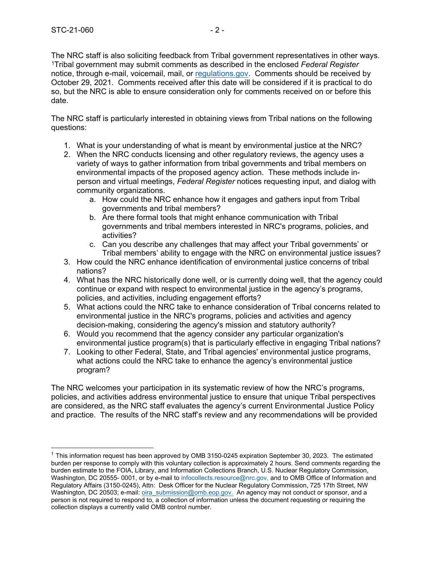The NRC staff is also soliciting feedback from Tribal government representatives in other ways. [1](#page-1-0)Tribal government may submit comments as described in the enclosed *Federal Register* notice, through e-mail, voicemail, mail, or [regulations.gov.](https://www.regulations.gov/) Comments should be received by October 29, 2021. Comments received after this date will be considered if it is practical to do so, but the NRC is able to ensure consideration only for comments received on or before this date.

The NRC staff is particularly interested in obtaining views from Tribal nations on the following questions:

- 1. What is your understanding of what is meant by environmental justice at the NRC?
- 2. When the NRC conducts licensing and other regulatory reviews, the agency uses a variety of ways to gather information from tribal governments and tribal members on environmental impacts of the proposed agency action. These methods include inperson and virtual meetings, *Federal Register* notices requesting input, and dialog with community organizations.
	- a. How could the NRC enhance how it engages and gathers input from Tribal governments and tribal members?
	- b. Are there formal tools that might enhance communication with Tribal governments and tribal members interested in NRC's programs, policies, and activities?
	- c. Can you describe any challenges that may affect your Tribal governments' or Tribal members' ability to engage with the NRC on environmental justice issues?
- 3. How could the NRC enhance identification of environmental justice concerns of tribal nations?
- 4. What has the NRC historically done well, or is currently doing well, that the agency could continue or expand with respect to environmental justice in the agency's programs, policies, and activities, including engagement efforts?
- 5. What actions could the NRC take to enhance consideration of Tribal concerns related to environmental justice in the NRC's programs, policies and activities and agency decision-making, considering the agency's mission and statutory authority?
- 6. Would you recommend that the agency consider any particular organization's environmental justice program(s) that is particularly effective in engaging Tribal nations?
- 7. Looking to other Federal, State, and Tribal agencies' environmental justice programs, what actions could the NRC take to enhance the agency's environmental justice program?

The NRC welcomes your participation in its systematic review of how the NRC's programs, policies, and activities address environmental justice to ensure that unique Tribal perspectives are considered, as the NRC staff evaluates the agency's current Environmental Justice Policy and practice. The results of the NRC staff's review and any recommendations will be provided

<span id="page-1-0"></span><sup>&</sup>lt;sup>1</sup> This information request has been approved by OMB 3150-0245 expiration September 30, 2023. The estimated burden per response to comply with this voluntary collection is approximately 2 hours. Send comments regarding the burden estimate to the FOIA, Library, and Information Collections Branch, U.S. Nuclear Regulatory Commission, Washington, DC 20555- 0001, or by e-mail to [infocollects.resource@nrc.gov, a](mailto:infocollects.resource@nrc.gov)nd to OMB Office of Information and Regulatory Affairs (3150-0245), Attn: Desk Officer for the Nuclear Regulatory Commission, 725 17th Street, NW Washington, DC 20503; e-mail: [oira\\_submission@omb.eop.gov.](mailto:oira_submission@omb.eop.gov) An agency may not conduct or sponsor, and a person is not required to respond to, a collection of information unless the document requesting or requiring the collection displays a currently valid OMB control number.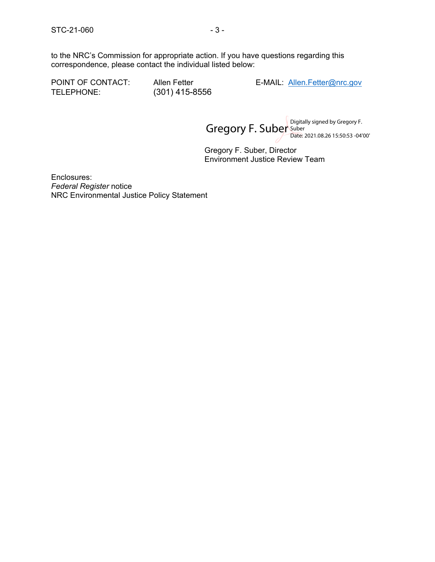to the NRC's Commission for appropriate action. If you have questions regarding this correspondence, please contact the individual listed below:

TELEPHONE: (301) 415-8556

POINT OF CONTACT: Allen Fetter E-MAIL: [Allen.Fetter@nrc.gov](mailto:Allen.Fetter@nrc.gov)

Gregory F. Suber Suber Suber Suber Section Section 2011 Date: 2021.08.26 15:50:53 -04'00'

Gregory F. Suber, Director Environment Justice Review Team

Enclosures: *Federal Register* notice NRC Environmental Justice Policy Statement